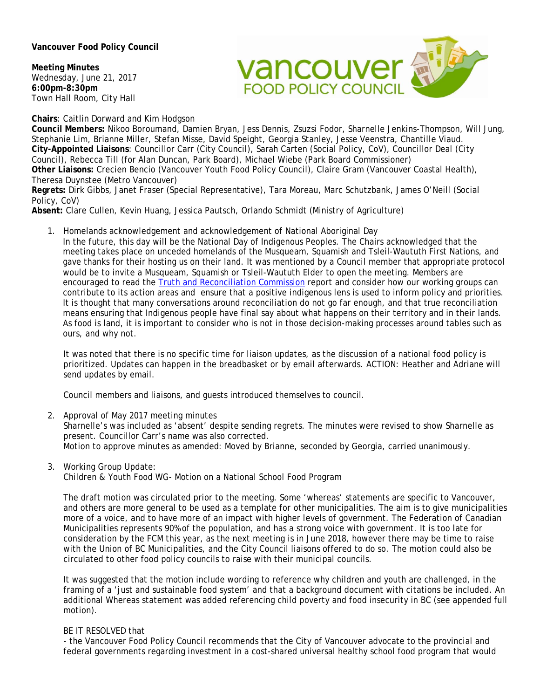**Vancouver Food Policy Council** 

**Meeting Minutes**  Wednesday, June 21, 2017 **6:00pm-8:30pm**  Town Hall Room, City Hall



**Chairs**: Caitlin Dorward and Kim Hodgson

**Council Members:** Nikoo Boroumand, Damien Bryan, Jess Dennis, Zsuzsi Fodor, Sharnelle Jenkins-Thompson, Will Jung, Stephanie Lim, Brianne Miller, Stefan Misse, David Speight, Georgia Stanley, Jesse Veenstra, Chantille Viaud. **City-Appointed Liaisons**: Councillor Carr (City Council), Sarah Carten (Social Policy, CoV), Councillor Deal (City Council), Rebecca Till (for Alan Duncan, Park Board), Michael Wiebe (Park Board Commissioner) **Other Liaisons:** Crecien Bencio (Vancouver Youth Food Policy Council), Claire Gram (Vancouver Coastal Health), Theresa Duynstee (Metro Vancouver)

**Regrets:** Dirk Gibbs, Janet Fraser (Special Representative), Tara Moreau, Marc Schutzbank, James O'Neill (Social Policy, CoV)

**Absent:** Clare Cullen, Kevin Huang, Jessica Pautsch, Orlando Schmidt (Ministry of Agriculture)

1. Homelands acknowledgement and acknowledgement of National Aboriginal Day

In the future, this day will be the National Day of Indigenous Peoples. The Chairs acknowledged that the meeting takes place on unceded homelands of the Musqueam, Squamish and Tsleil-Waututh First Nations, and gave thanks for their hosting us on their land. It was mentioned by a Council member that appropriate protocol would be to invite a Musqueam, Squamish or Tsleil-Waututh Elder to open the meeting. Members are encouraged to read the Truth and Reconciliation Commission report and consider how our working groups can contribute to its action areas and ensure that a positive indigenous lens is used to inform policy and priorities. It is thought that many conversations around reconciliation do not go far enough, and that true reconciliation means ensuring that Indigenous people have final say about what happens on their territory and in their lands. As food is land, it is important to consider who is not in those decision-making processes around tables such as ours, and why not.

It was noted that there is no specific time for liaison updates, as the discussion of a national food policy is prioritized. Updates can happen in the breadbasket or by email afterwards. ACTION: Heather and Adriane will send updates by email.

Council members and liaisons, and guests introduced themselves to council.

2. Approval of May 2017 meeting minutes

Sharnelle's was included as 'absent' despite sending regrets. The minutes were revised to show Sharnelle as present. Councillor Carr's name was also corrected.

Motion to approve minutes as amended: Moved by Brianne, seconded by Georgia, carried unanimously.

3. Working Group Update:

Children & Youth Food WG- Motion on a National School Food Program

The draft motion was circulated prior to the meeting. Some 'whereas' statements are specific to Vancouver, and others are more general to be used as a template for other municipalities. The aim is to give municipalities more of a voice, and to have more of an impact with higher levels of government. The Federation of Canadian Municipalities represents 90% of the population, and has a strong voice with government. It is too late for consideration by the FCM this year, as the next meeting is in June 2018, however there may be time to raise with the Union of BC Municipalities, and the City Council liaisons offered to do so. The motion could also be circulated to other food policy councils to raise with their municipal councils.

It was suggested that the motion include wording to reference why children and youth are challenged, in the framing of a 'just and sustainable food system' and that a background document with citations be included. An additional Whereas statement was added referencing child poverty and food insecurity in BC (see appended full motion).

## BE IT RESOLVED that

- the Vancouver Food Policy Council recommends that the City of Vancouver advocate to the provincial and federal governments regarding investment in a cost-shared universal healthy school food program that would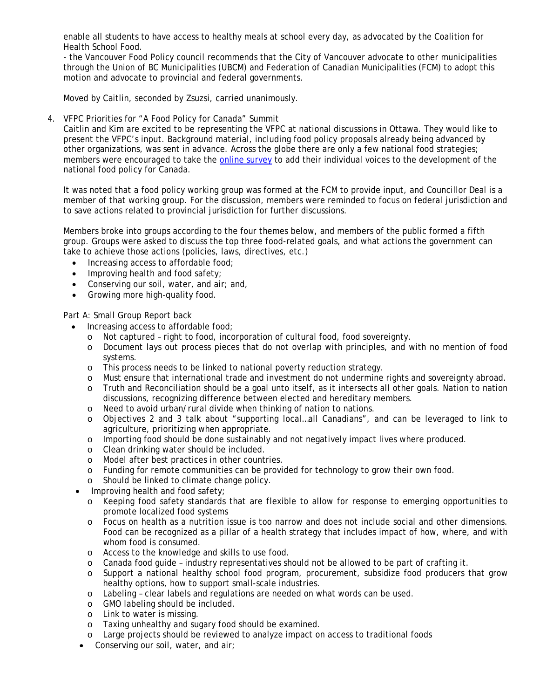enable all students to have access to healthy meals at school every day, as advocated by the Coalition for Health School Food.

- the Vancouver Food Policy council recommends that the City of Vancouver advocate to other municipalities through the Union of BC Municipalities (UBCM) and Federation of Canadian Municipalities (FCM) to adopt this motion and advocate to provincial and federal governments.

Moved by Caitlin, seconded by Zsuzsi, carried unanimously.

## 4. VFPC Priorities for "A Food Policy for Canada" Summit

Caitlin and Kim are excited to be representing the VFPC at national discussions in Ottawa. They would like to present the VFPC's input. Background material, including food policy proposals already being advanced by other organizations, was sent in advance. Across the globe there are only a few national food strategies; members were encouraged to take the online survey to add their individual voices to the development of the national food policy for Canada.

It was noted that a food policy working group was formed at the FCM to provide input, and Councillor Deal is a member of that working group. For the discussion, members were reminded to focus on federal jurisdiction and to save actions related to provincial jurisdiction for further discussions.

Members broke into groups according to the four themes below, and members of the public formed a fifth group. Groups were asked to discuss the top three food-related goals, and what actions the government can take to achieve those actions (policies, laws, directives, etc.)

- Increasing access to affordable food;
- Improving health and food safety;
- Conserving our soil, water, and air; and,
- Growing more high-quality food.

Part A: Small Group Report back

- Increasing access to affordable food;
	- o Not captured right to food, incorporation of cultural food, food sovereignty.
	- o Document lays out process pieces that do not overlap with principles, and with no mention of food systems.
	- o This process needs to be linked to national poverty reduction strategy.
	- o Must ensure that international trade and investment do not undermine rights and sovereignty abroad.
	- o Truth and Reconciliation should be a goal unto itself, as it intersects all other goals. Nation to nation discussions, recognizing difference between elected and hereditary members.
	- o Need to avoid urban/rural divide when thinking of nation to nations.
	- o Objectives 2 and 3 talk about "supporting local…all Canadians", and can be leveraged to link to agriculture, prioritizing when appropriate.
	- o Importing food should be done sustainably and not negatively impact lives where produced.
	- o Clean drinking water should be included.
	- o Model after best practices in other countries.
	- o Funding for remote communities can be provided for technology to grow their own food.
	- o Should be linked to climate change policy.
- Improving health and food safety;
	- o Keeping food safety standards that are flexible to allow for response to emerging opportunities to promote localized food systems
	- o Focus on health as a nutrition issue is too narrow and does not include social and other dimensions. Food can be recognized as a pillar of a health strategy that includes impact of how, where, and with whom food is consumed.
	- o Access to the knowledge and skills to use food.
	- o Canada food guide industry representatives should not be allowed to be part of crafting it.
	- o Support a national healthy school food program, procurement, subsidize food producers that grow healthy options, how to support small-scale industries.
	- o Labeling clear labels and regulations are needed on what words can be used.
	- o GMO labeling should be included.
	- o Link to water is missing.
	- o Taxing unhealthy and sugary food should be examined.
	- o Large projects should be reviewed to analyze impact on access to traditional foods
- Conserving our soil, water, and air;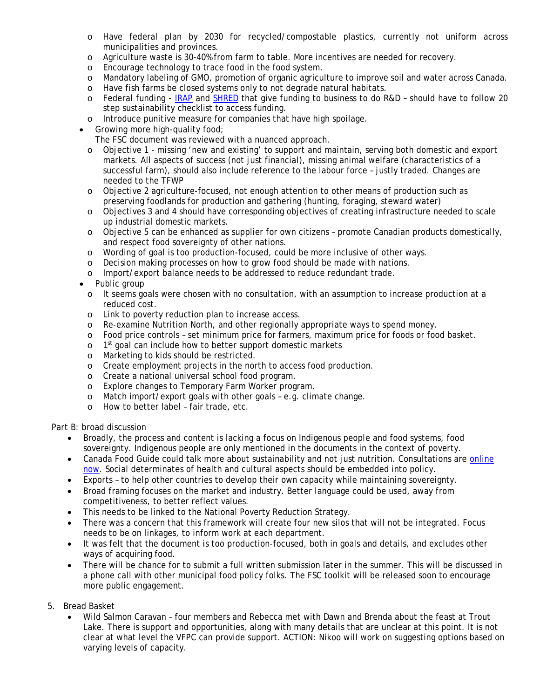- o Have federal plan by 2030 for recycled/compostable plastics, currently not uniform across municipalities and provinces.
- o Agriculture waste is 30-40% from farm to table. More incentives are needed for recovery.
- o Encourage technology to trace food in the food system.
- o Mandatory labeling of GMO, promotion of organic agriculture to improve soil and water across Canada.
- o Have fish farms be closed systems only to not degrade natural habitats.
- o Federal funding IRAP and SHRED that give funding to business to do R&D should have to follow 20 step sustainability checklist to access funding.
- o Introduce punitive measure for companies that have high spoilage.
- Growing more high-quality food;

The FSC document was reviewed with a nuanced approach.

- o Objective 1 missing 'new and existing' to support and maintain, serving both domestic and export markets. All aspects of success (not just financial), missing animal welfare (characteristics of a successful farm), should also include reference to the labour force – justly traded. Changes are needed to the TFWP
- o Objective 2 agriculture-focused, not enough attention to other means of production such as preserving foodlands for production and gathering (hunting, foraging, steward water)
- o Objectives 3 and 4 should have corresponding objectives of creating infrastructure needed to scale up industrial domestic markets.
- o Objective 5 can be enhanced as supplier for own citizens promote Canadian products domestically, and respect food sovereignty of other nations.
- o Wording of goal is too production-focused, could be more inclusive of other ways.
- o Decision making processes on how to grow food should be made with nations.
- o Import/export balance needs to be addressed to reduce redundant trade.
- Public group
	- o It seems goals were chosen with no consultation, with an assumption to increase production at a reduced cost.
	- o Link to poverty reduction plan to increase access.
	- o Re-examine Nutrition North, and other regionally appropriate ways to spend money.
	- o Food price controls set minimum price for farmers, maximum price for foods or food basket.
	- o 1<sup>st</sup> goal can include how to better support domestic markets
	- o Marketing to kids should be restricted.
	- o Create employment projects in the north to access food production.
	- o Create a national universal school food program.
	- o Explore changes to Temporary Farm Worker program.
	- o Match import/export goals with other goals e.g. climate change.
	- o How to better label fair trade, etc.

Part B: broad discussion

- Broadly, the process and content is lacking a focus on Indigenous people and food systems, food sovereignty. Indigenous people are only mentioned in the documents in the context of poverty.
- Canada Food Guide could talk more about sustainability and not just nutrition. Consultations are online now. Social determinates of health and cultural aspects should be embedded into policy.
- Exports to help other countries to develop their own capacity while maintaining sovereignty.
- Broad framing focuses on the market and industry. Better language could be used, away from competitiveness, to better reflect values.
- This needs to be linked to the National Poverty Reduction Strategy.
- There was a concern that this framework will create four new silos that will not be integrated. Focus needs to be on linkages, to inform work at each department.
- It was felt that the document is too production-focused, both in goals and details, and excludes other ways of acquiring food.
- There will be chance for to submit a full written submission later in the summer. This will be discussed in a phone call with other municipal food policy folks. The FSC toolkit will be released soon to encourage more public engagement.
- 5. Bread Basket
	- Wild Salmon Caravan four members and Rebecca met with Dawn and Brenda about the feast at Trout Lake. There is support and opportunities, along with many details that are unclear at this point. It is not clear at what level the VFPC can provide support. ACTION: Nikoo will work on suggesting options based on varying levels of capacity.